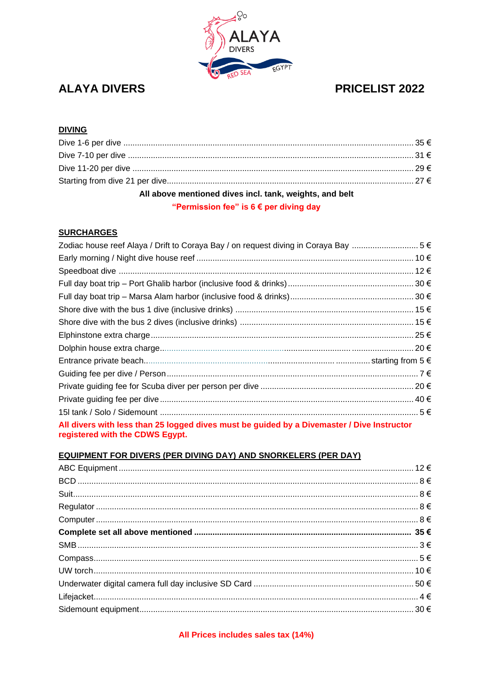

# **ALAYA DIVERS**

# PRICELIST 2022

# **DIVING**

| All above mentioned dives incl. tank, weights, and belt |  |
|---------------------------------------------------------|--|
| "Permission fee" is $6 \notin$ per diving day           |  |

## **SURCHARGES**

| All divers with less than 25 logged dives must be guided by a Divemaster / Dive Instructor<br>registered with the CDWS Egypt. |  |
|-------------------------------------------------------------------------------------------------------------------------------|--|

## **EQUIPMENT FOR DIVERS (PER DIVING DAY) AND SNORKELERS (PER DAY)**

All Prices includes sales tax (14%)